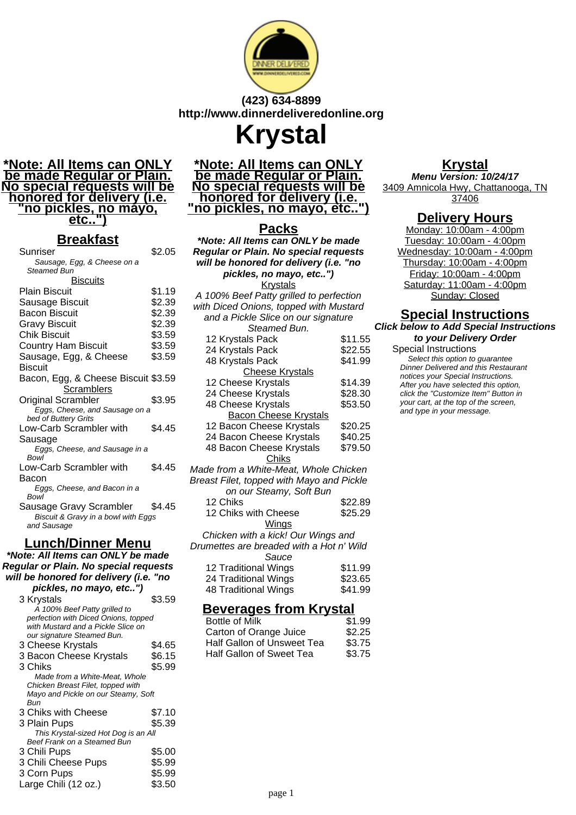

## **(423) 634-8899 http://www.dinnerdeliveredonline.org**

**Krystal**

#### **\*Note: All Items can ONLY be made Regular or Plain. No special requests will be honored for delivery (i.e. "no pickles, no mayo, etc..")**

### **Breakfast**

| <u>sanast</u>                       |        |
|-------------------------------------|--------|
| Sunriser                            | \$2.05 |
| Sausage, Egg, & Cheese on a         |        |
| Steamed Bun                         |        |
| <u>Biscuits</u>                     |        |
| <b>Plain Biscuit</b>                | \$1.19 |
| Sausage Biscuit                     | \$2.39 |
| <b>Bacon Biscuit</b>                | \$2.39 |
| <b>Gravy Biscuit</b>                | \$2.39 |
| Chik Biscuit                        | \$3.59 |
| <b>Country Ham Biscuit</b>          | \$3.59 |
| Sausage, Egg, & Cheese              | \$3.59 |
| <b>Biscuit</b>                      |        |
| Bacon, Egg, & Cheese Biscuit \$3.59 |        |
|                                     |        |
| Scramblers                          |        |
| Original Scrambler                  | \$3.95 |
| Eggs, Cheese, and Sausage on a      |        |
| bed of Buttery Grits                |        |
| Low-Carb Scrambler with             | \$4.45 |
| Sausage                             |        |
| Eggs, Cheese, and Sausage in a      |        |
| <b>Bowl</b>                         |        |
| Low-Carb Scrambler with             | \$4.45 |
| Bacon                               |        |
| Eggs, Cheese, and Bacon in a        |        |
| Bowl                                |        |
| Sausage Gravy Scrambler             | \$4.45 |
| Biscuit & Gravy in a bowl with Eggs |        |
| and Sausage                         |        |

## **Lunch/Dinner Menu**

**\*Note: All Items can ONLY be made Regular or Plain. No special requests will be honored for delivery (i.e. "no pickles, no mayo, etc..")**

| \$3.59                               |
|--------------------------------------|
|                                      |
| perfection with Diced Onions, topped |
|                                      |
|                                      |
| \$4.65                               |
| \$6.15                               |
| \$5.99                               |
|                                      |
|                                      |
| Mayo and Pickle on our Steamy, Soft  |
|                                      |
| \$7.10                               |
| \$5.39                               |
| This Krystal-sized Hot Dog is an All |
|                                      |
| \$5.00                               |
| \$5.99                               |
| \$5.99                               |
| \$3.50                               |
|                                      |

#### **\*Note: All Items can ONLY be made Regular or Plain. No special requests will be honored for delivery (i.e. "no pickles, no mayo, etc..")**

# **Packs**

| $\sim\!\!\sim$<br>*Note: All Items can ONLY be made                                                        |         |  |                                         |  |
|------------------------------------------------------------------------------------------------------------|---------|--|-----------------------------------------|--|
| Regular or Plain. No special requests<br>will be honored for delivery (i.e. "no<br>pickles, no mayo, etc") |         |  |                                         |  |
|                                                                                                            |         |  | <b>Krystals</b>                         |  |
|                                                                                                            |         |  | A 100% Beef Patty grilled to perfection |  |
| with Diced Onions, topped with Mustard                                                                     |         |  |                                         |  |
| and a Pickle Slice on our signature                                                                        |         |  |                                         |  |
| Steamed Bun.                                                                                               |         |  |                                         |  |
| 12 Krystals Pack                                                                                           | \$11.55 |  |                                         |  |
| 24 Krystals Pack                                                                                           | \$22.55 |  |                                         |  |
| 48 Krystals Pack                                                                                           | \$41.99 |  |                                         |  |
| <b>Cheese Krystals</b>                                                                                     |         |  |                                         |  |
| 12 Cheese Krystals                                                                                         | \$14.39 |  |                                         |  |
| 24 Cheese Krystals                                                                                         | \$28.30 |  |                                         |  |
| 48 Cheese Krystals                                                                                         | \$53.50 |  |                                         |  |
| <b>Bacon Cheese Krystals</b>                                                                               |         |  |                                         |  |
| 12 Bacon Cheese Krystals                                                                                   | \$20.25 |  |                                         |  |
| 24 Bacon Cheese Krystals                                                                                   | \$40.25 |  |                                         |  |
| 48 Bacon Cheese Krystals                                                                                   | \$79.50 |  |                                         |  |
| Chiks                                                                                                      |         |  |                                         |  |
| Made from a White-Meat, Whole Chicken                                                                      |         |  |                                         |  |
| Breast Filet, topped with Mayo and Pickle                                                                  |         |  |                                         |  |
| on our Steamy, Soft Bun                                                                                    |         |  |                                         |  |
| 12 Chiks                                                                                                   | \$22.89 |  |                                         |  |
| 12 Chiks with Cheese                                                                                       | \$25.29 |  |                                         |  |
| Wings                                                                                                      |         |  |                                         |  |
| Chicken with a kick! Our Wings and                                                                         |         |  |                                         |  |
| Drumettes are breaded with a Hot n' Wild                                                                   |         |  |                                         |  |
| Sauce                                                                                                      |         |  |                                         |  |
| 12 Traditional Wings                                                                                       | \$11.99 |  |                                         |  |
| 24 Traditional Wings                                                                                       | \$23.65 |  |                                         |  |
| 48 Traditional Wings                                                                                       | \$41.99 |  |                                         |  |

## **Beverages from Krystal**

| Bottle of Milk             | \$1.99 |
|----------------------------|--------|
| Carton of Orange Juice     | \$2.25 |
| Half Gallon of Unsweet Tea | \$3.75 |
| Half Gallon of Sweet Tea   | \$3.75 |

# **Krystal**

**Menu Version: 10/24/17** 3409 Amnicola Hwy, Chattanooga, TN 37406

## **Delivery Hours**

Monday: 10:00am - 4:00pm Tuesday: 10:00am - 4:00pm Wednesday: 10:00am - 4:00pm Thursday: 10:00am - 4:00pm Friday: 10:00am - 4:00pm Saturday: 11:00am - 4:00pm Sunday: Closed

# **Special Instructions**

**Click below to Add Special Instructions to your Delivery Order**

#### Special Instructions

Select this option to quarantee Dinner Delivered and this Restaurant notices your Special Instructions. After you have selected this option, click the "Customize Item" Button in your cart, at the top of the screen, and type in your message.